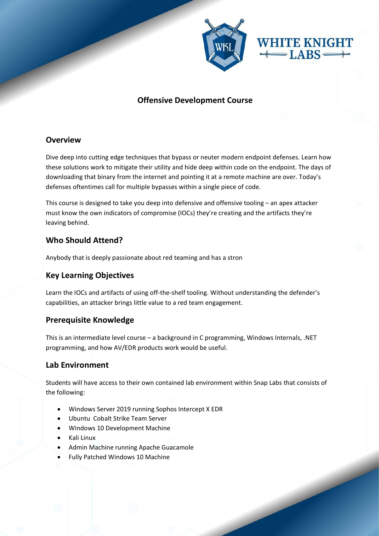

# **Offensive Development Course**

# **Overview**

Dive deep into cutting edge techniques that bypass or neuter modern endpoint defenses. Learn how these solutions work to mitigate their utility and hide deep within code on the endpoint. The days of downloading that binary from the internet and pointing it at a remote machine are over. Today's defenses oftentimes call for multiple bypasses within a single piece of code.

This course is designed to take you deep into defensive and offensive tooling – an apex attacker must know the own indicators of compromise (IOCs) they're creating and the artifacts they're leaving behind.

# **Who Should Attend?**

Anybody that is deeply passionate about red teaming and has a stron

### **Key Learning Objectives**

Learn the IOCs and artifacts of using off-the-shelf tooling. Without understanding the defender's capabilities, an attacker brings little value to a red team engagement.

### **Prerequisite Knowledge**

This is an intermediate level course – a background in C programming, Windows Internals, .NET programming, and how AV/EDR products work would be useful.

### **Lab Environment**

Students will have access to their own contained lab environment within Snap Labs that consists of the following:

- Windows Server 2019 running Sophos Intercept X EDR
- Ubuntu Cobalt Strike Team Server
- Windows 10 Development Machine
- Kali Linux
- Admin Machine running Apache Guacamole
- Fully Patched Windows 10 Machine